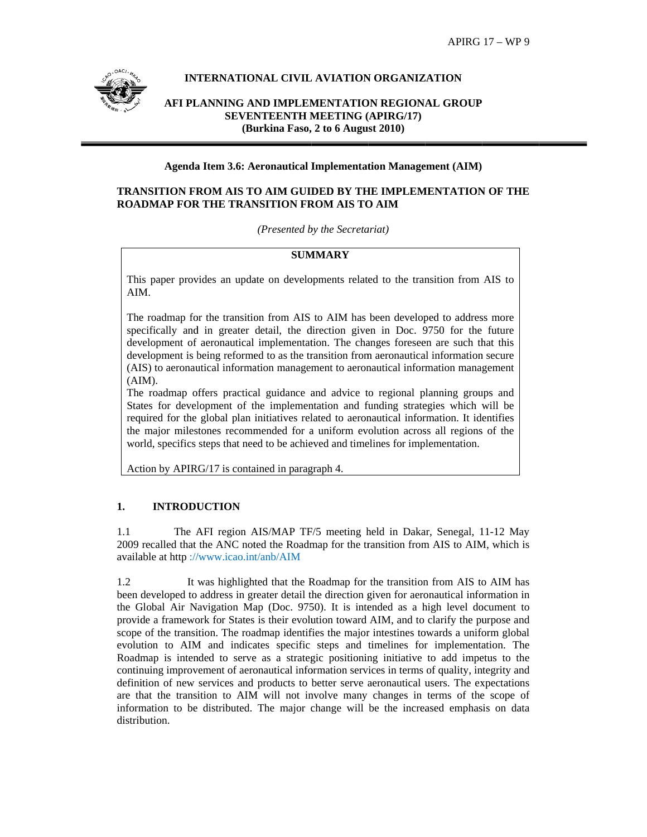

# **INTERNATIONAL CIVIL AVIATION ORGANIZATION**

AFI PLANNING AND IMPLEMENTATION REGIONAL GROUP **SEVENTEENTH MEETING (APIRG/17)** (Burkina Faso, 2 to 6 August 2010)

### **Agenda Item 3.6: Aeronautical Implementation Management (AIM)**

# TRANSITION FROM AIS TO AIM GUIDED BY THE IMPLEMENTATION OF THE **ROADMAP FOR THE TRANSITION FROM AIS TO AIM**

(Presented by the Secretariat)

#### **SUMMARY**

This paper provides an update on developments related to the transition from AIS to AIM.

The roadmap for the transition from AIS to AIM has been developed to address more specifically and in greater detail, the direction given in Doc. 9750 for the future development of aeronautical implementation. The changes foreseen are such that this development is being reformed to as the transition from aeronautical information secure (AIS) to aeronautical information management to aeronautical information management  $(AIM).$ 

The roadmap offers practical guidance and advice to regional planning groups and States for development of the implementation and funding strategies which will be required for the global plan initiatives related to aeronautical information. It identifies the major milestones recommended for a uniform evolution across all regions of the world, specifics steps that need to be achieved and timelines for implementation.

Action by APIRG/17 is contained in paragraph 4.

#### **INTRODUCTION** 1.

The AFI region AIS/MAP TF/5 meeting held in Dakar, Senegal, 11-12 May 11 2009 recalled that the ANC noted the Roadmap for the transition from AIS to AIM, which is available at http://www.icao.int/anb/AIM

1.2 It was highlighted that the Roadmap for the transition from AIS to AIM has been developed to address in greater detail the direction given for aeronautical information in the Global Air Navigation Map (Doc. 9750). It is intended as a high level document to provide a framework for States is their evolution toward AIM, and to clarify the purpose and scope of the transition. The roadmap identifies the major intestines towards a uniform global evolution to AIM and indicates specific steps and timelines for implementation. The Roadmap is intended to serve as a strategic positioning initiative to add impetus to the continuing improvement of aeronautical information services in terms of quality, integrity and definition of new services and products to better serve aeronautical users. The expectations are that the transition to AIM will not involve many changes in terms of the scope of information to be distributed. The major change will be the increased emphasis on data distribution.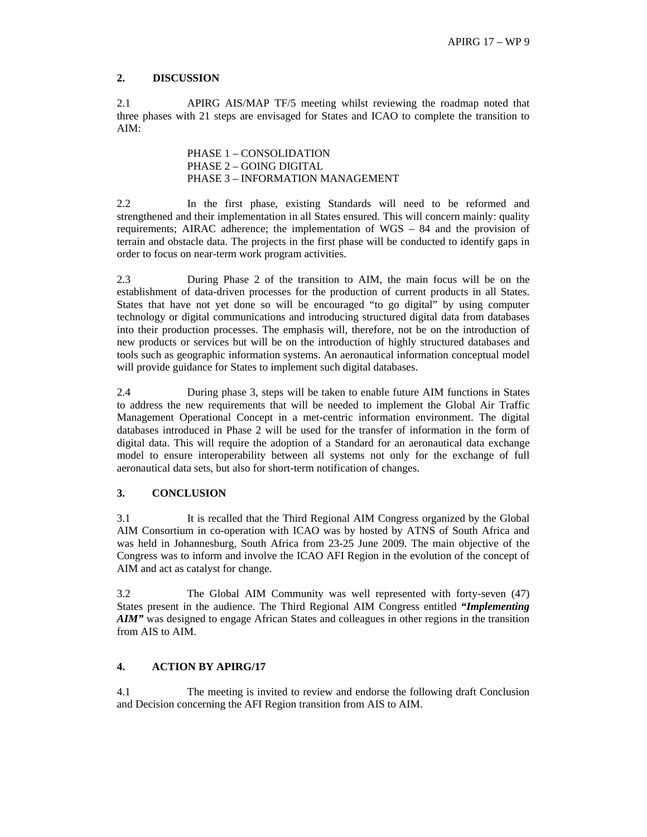## **2. DISCUSSION**

2.1 APIRG AIS/MAP TF/5 meeting whilst reviewing the roadmap noted that three phases with 21 steps are envisaged for States and ICAO to complete the transition to AIM:

> PHASE 1 – CONSOLIDATION PHASE 2 – GOING DIGITAL PHASE 3 – INFORMATION MANAGEMENT

2.2 In the first phase, existing Standards will need to be reformed and strengthened and their implementation in all States ensured. This will concern mainly: quality requirements; AIRAC adherence; the implementation of WGS – 84 and the provision of terrain and obstacle data. The projects in the first phase will be conducted to identify gaps in order to focus on near-term work program activities.

2.3 During Phase 2 of the transition to AIM, the main focus will be on the establishment of data-driven processes for the production of current products in all States. States that have not yet done so will be encouraged "to go digital" by using computer technology or digital communications and introducing structured digital data from databases into their production processes. The emphasis will, therefore, not be on the introduction of new products or services but will be on the introduction of highly structured databases and tools such as geographic information systems. An aeronautical information conceptual model will provide guidance for States to implement such digital databases.

2.4 During phase 3, steps will be taken to enable future AIM functions in States to address the new requirements that will be needed to implement the Global Air Traffic Management Operational Concept in a met-centric information environment. The digital databases introduced in Phase 2 will be used for the transfer of information in the form of digital data. This will require the adoption of a Standard for an aeronautical data exchange model to ensure interoperability between all systems not only for the exchange of full aeronautical data sets, but also for short-term notification of changes.

# **3. CONCLUSION**

3.1 It is recalled that the Third Regional AIM Congress organized by the Global AIM Consortium in co-operation with ICAO was by hosted by ATNS of South Africa and was held in Johannesburg, South Africa from 23-25 June 2009. The main objective of the Congress was to inform and involve the ICAO AFI Region in the evolution of the concept of AIM and act as catalyst for change.

3.2 The Global AIM Community was well represented with forty-seven (47) States present in the audience. The Third Regional AIM Congress entitled *"Implementing AIM"* was designed to engage African States and colleagues in other regions in the transition from AIS to AIM.

#### **4. ACTION BY APIRG/17**

4.1 The meeting is invited to review and endorse the following draft Conclusion and Decision concerning the AFI Region transition from AIS to AIM.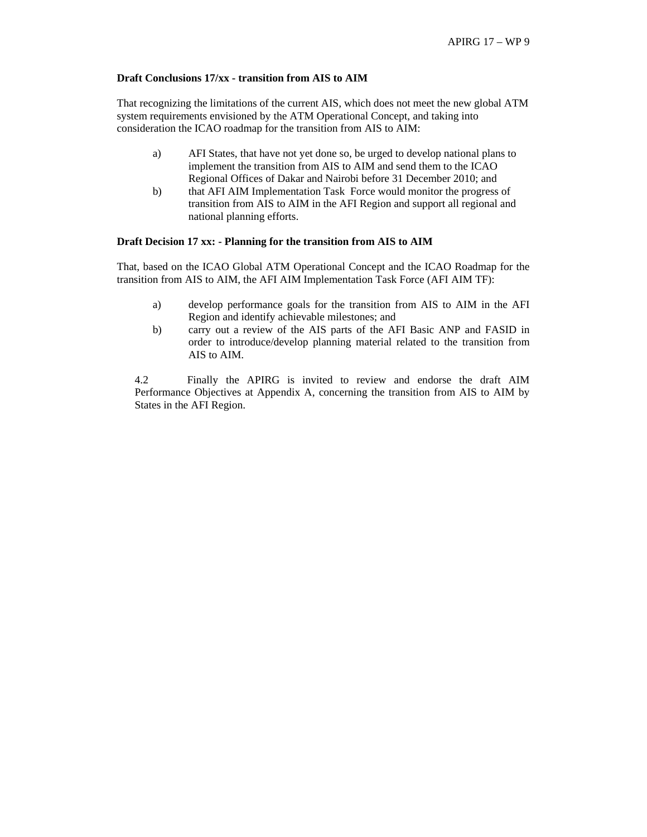#### **Draft Conclusions 17/xx - transition from AIS to AIM**

That recognizing the limitations of the current AIS, which does not meet the new global ATM system requirements envisioned by the ATM Operational Concept, and taking into consideration the ICAO roadmap for the transition from AIS to AIM:

- a) AFI States, that have not yet done so, be urged to develop national plans to implement the transition from AIS to AIM and send them to the ICAO Regional Offices of Dakar and Nairobi before 31 December 2010; and
- b) that AFI AIM Implementation Task Force would monitor the progress of transition from AIS to AIM in the AFI Region and support all regional and national planning efforts.

#### **Draft Decision 17 xx: - Planning for the transition from AIS to AIM**

That, based on the ICAO Global ATM Operational Concept and the ICAO Roadmap for the transition from AIS to AIM, the AFI AIM Implementation Task Force (AFI AIM TF):

- a) develop performance goals for the transition from AIS to AIM in the AFI Region and identify achievable milestones; and
- b) carry out a review of the AIS parts of the AFI Basic ANP and FASID in order to introduce/develop planning material related to the transition from AIS to AIM.

4.2 Finally the APIRG is invited to review and endorse the draft AIM Performance Objectives at Appendix A, concerning the transition from AIS to AIM by States in the AFI Region.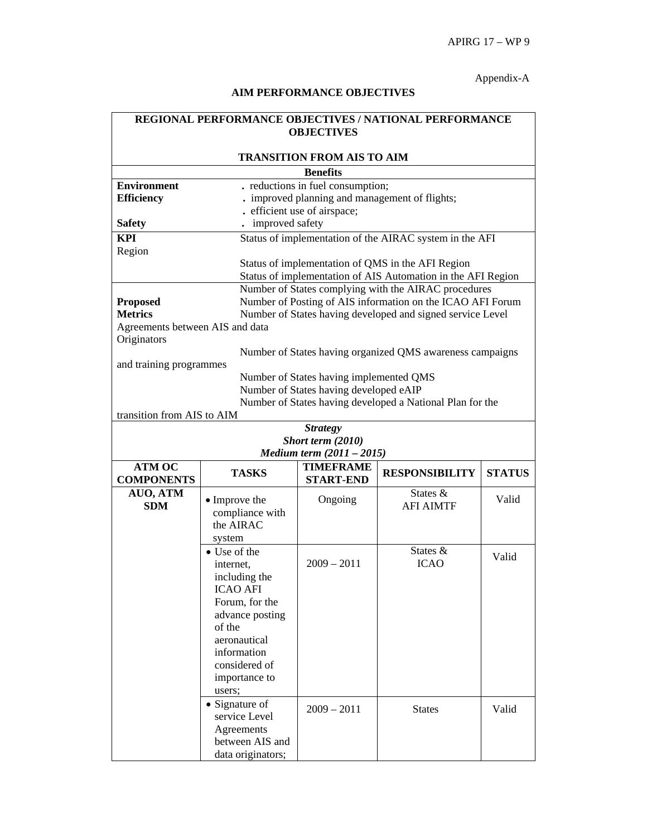# Appendix-A

# **AIM PERFORMANCE OBJECTIVES**

| REGIONAL PERFORMANCE OBJECTIVES / NATIONAL PERFORMANCE<br><b>OBJECTIVES</b> |                        |                                                |                                                              |               |  |  |
|-----------------------------------------------------------------------------|------------------------|------------------------------------------------|--------------------------------------------------------------|---------------|--|--|
|                                                                             |                        | <b>TRANSITION FROM AIS TO AIM</b>              |                                                              |               |  |  |
| <b>Benefits</b>                                                             |                        |                                                |                                                              |               |  |  |
| <b>Environment</b>                                                          |                        | . reductions in fuel consumption;              |                                                              |               |  |  |
| <b>Efficiency</b>                                                           |                        | . improved planning and management of flights; |                                                              |               |  |  |
|                                                                             |                        | . efficient use of airspace;                   |                                                              |               |  |  |
| <b>Safety</b>                                                               | improved safety        |                                                |                                                              |               |  |  |
| <b>KPI</b>                                                                  |                        |                                                | Status of implementation of the AIRAC system in the AFI      |               |  |  |
| Region                                                                      |                        |                                                |                                                              |               |  |  |
|                                                                             |                        |                                                | Status of implementation of QMS in the AFI Region            |               |  |  |
|                                                                             |                        |                                                | Status of implementation of AIS Automation in the AFI Region |               |  |  |
|                                                                             |                        |                                                | Number of States complying with the AIRAC procedures         |               |  |  |
| <b>Proposed</b>                                                             |                        |                                                | Number of Posting of AIS information on the ICAO AFI Forum   |               |  |  |
| <b>Metrics</b>                                                              |                        |                                                | Number of States having developed and signed service Level   |               |  |  |
| Agreements between AIS and data                                             |                        |                                                |                                                              |               |  |  |
| Originators                                                                 |                        |                                                |                                                              |               |  |  |
|                                                                             |                        |                                                | Number of States having organized QMS awareness campaigns    |               |  |  |
| and training programmes                                                     |                        |                                                |                                                              |               |  |  |
|                                                                             |                        | Number of States having implemented QMS        |                                                              |               |  |  |
|                                                                             |                        | Number of States having developed eAIP         |                                                              |               |  |  |
|                                                                             |                        |                                                | Number of States having developed a National Plan for the    |               |  |  |
| transition from AIS to AIM                                                  |                        |                                                |                                                              |               |  |  |
|                                                                             |                        | <b>Strategy</b>                                |                                                              |               |  |  |
|                                                                             |                        | Short term (2010)                              |                                                              |               |  |  |
| Medium term (2011 - 2015)                                                   |                        |                                                |                                                              |               |  |  |
| <b>ATM OC</b><br><b>COMPONENTS</b>                                          | <b>TASKS</b>           | <b>TIMEFRAME</b><br><b>START-END</b>           | <b>RESPONSIBILITY</b>                                        | <b>STATUS</b> |  |  |
| AUO, ATM                                                                    |                        |                                                | States $\&$                                                  |               |  |  |
| <b>SDM</b>                                                                  | • Improve the          | Ongoing                                        | <b>AFI AIMTF</b>                                             | Valid         |  |  |
|                                                                             | compliance with        |                                                |                                                              |               |  |  |
|                                                                             | the AIRAC              |                                                |                                                              |               |  |  |
|                                                                             | system                 |                                                |                                                              |               |  |  |
|                                                                             | $\bullet$ Use of the   |                                                | States &                                                     | Valid         |  |  |
|                                                                             | internet,              | $2009 - 2011$                                  | <b>ICAO</b>                                                  |               |  |  |
|                                                                             | including the          |                                                |                                                              |               |  |  |
|                                                                             | <b>ICAO AFI</b>        |                                                |                                                              |               |  |  |
|                                                                             | Forum, for the         |                                                |                                                              |               |  |  |
|                                                                             | advance posting        |                                                |                                                              |               |  |  |
|                                                                             | of the<br>aeronautical |                                                |                                                              |               |  |  |
|                                                                             | information            |                                                |                                                              |               |  |  |
|                                                                             | considered of          |                                                |                                                              |               |  |  |
|                                                                             | importance to          |                                                |                                                              |               |  |  |
|                                                                             | users;                 |                                                |                                                              |               |  |  |
|                                                                             | • Signature of         |                                                |                                                              |               |  |  |
|                                                                             | service Level          | $2009 - 2011$                                  | <b>States</b>                                                | Valid         |  |  |
|                                                                             | Agreements             |                                                |                                                              |               |  |  |
|                                                                             | between AIS and        |                                                |                                                              |               |  |  |
|                                                                             | data originators;      |                                                |                                                              |               |  |  |